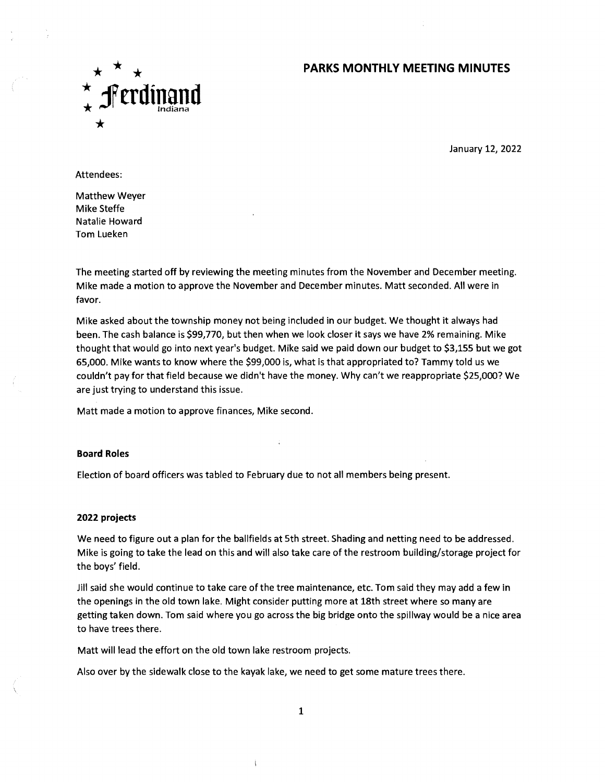## **PARKS MONTHLY MEETING MINUTES**



January 12, 2022

Attendees:

Matthew Weyer Mike Steffe Natalie Howard Tom Lueken

The meeting started off by reviewing the meeting minutes from the November and December meeting. Mike made a motion to approve the November and December minutes. Matt seconded. All were in favor.

Mike asked about the township money not being included in our budget. We thought it always had been. The cash balance is \$99,770, but then when we look closer it says we have 2% remaining. Mike thought that would go into next year's budget. Mike said we paid down our budget to \$3,155 but we got 65,000. Mike wants to know where the \$99,000 is, what is that appropriated to? Tammy told us we couldn't pay for that field because we didn't have the money. Why can't we reappropriate \$25,000? We are just trying to understand this issue.

Matt made a motion to approve finances, Mike second.

### **Board Roles**

Election of board officers was tabled to February due to not all members being present.

### **2022 projects**

We need to figure out a plan for the ballfields at 5th street. Shading and netting need to be addressed. Mike is going to take the lead on this and will also take care of the restroom building/storage project for the boys' field.

Jill said she would continue to take care of the tree maintenance, etc. Tom said they may add a few in the openings in the old town lake. Might consider putting more at 18th street where so many are getting taken down. Tom said where you go across the big bridge onto the spillway would be a nice area to have trees there.

Matt will lead the effort on the old town lake restroom projects.

Also over by the sidewalk close to the kayak lake, we need to get some mature trees there.

ŧ

1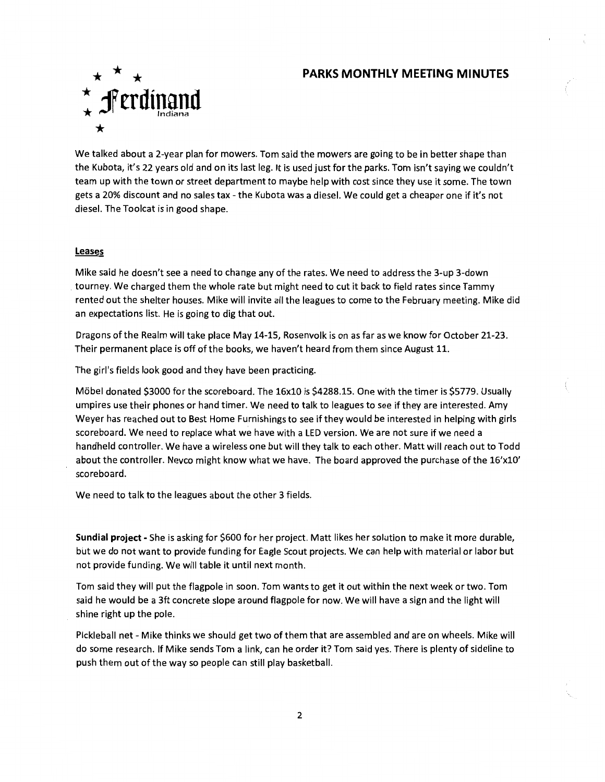### **PARKS MONTHLY MEETING MINUTES**



We talked about a 2-year plan for mowers. Tom said the mowers are going to be in better shape than the Kubota, it's 22 years old and on its last leg. lt is used just for the parks. Tom isn't saying we couldn't team up with the town or street department to maybe help with cost since they use it some. The town gets a 20% discount and no sales tax - the Kubota was a diesel. We could get a cheaper one if it's not diesel. The Toolcat is in good shape.

### **Leases**

Mike said he doesn't see a need to change any of the rates. We need to address the 3-up 3-down tourney. We charged them the whole rate but might need to cut it back to field rates since Tammy rented out the shelter houses. Mike will invite all the leagues to come to the February meeting. Mike did an expectations list. He is going to dig that out.

Dragons of the Realm will take place May 14-15, Rosenvolk is on as far as we know for October 21-23. Their permanent place is off of the books, we haven't heard from them since August 11.

The girl's fields look good and they have been practicing.

Mikel donated \$3000 for the scoreboard. The 16x10 is \$4288.15. One with the timer is \$5779. Usually umpires use their phones or hand timer. We need to talk to leagues to see if they are interested. Amy Weyer has reached out to Best Home Furnishings to see if they would be interested in helping with girls scoreboard. We need to replace what we have with a LED version. We are not sure if we need a handheld controller. We have a wireless one but will they talk to each other. Matt will reach out to Todd about the controller. Nevco might know what we have. The board approved the purchase of the 16'x10' scoreboard.

We need to talk to the leagues about the other 3 fields.

**Sundial project -** She is asking for \$600 for her project. Matt likes her solution to make it more durable, but we do not want to provide funding for Eagle Scout projects. We can help with material or labor but not provide funding. We will table it until next month.

Tom said they will put the flagpole in soon. Tom wants to get it out within the next week or two. Tom said he would be a 3ft concrete slope around flagpole for now. We will have a sign and the light will shine right up the pole.

Pickleball net - Mike thinks we should get two of them that are assembled and are on wheels. Mike will do some research. If Mike sends Tom a link, can he order it? Tom said yes. There is plenty of sideline to push them out of the way so people can still play basketball.